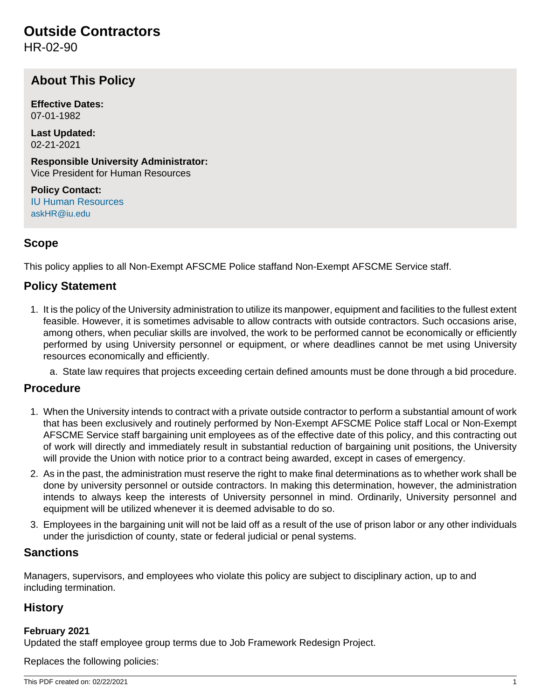# **Outside Contractors**

HR-02-90

# **About This Policy**

**Effective Dates:** 07-01-1982

**Last Updated:** 02-21-2021

**Responsible University Administrator:** Vice President for Human Resources

**Policy Contact:** [IU Human Resources](http://hr.iu.edu/welcome/contact.htm) [askHR@iu.edu](mailto:askHR@iu.edu)

# **Scope**

This policy applies to all Non-Exempt AFSCME Police staffand Non-Exempt AFSCME Service staff.

## **Policy Statement**

- 1. It is the policy of the University administration to utilize its manpower, equipment and facilities to the fullest extent feasible. However, it is sometimes advisable to allow contracts with outside contractors. Such occasions arise, among others, when peculiar skills are involved, the work to be performed cannot be economically or efficiently performed by using University personnel or equipment, or where deadlines cannot be met using University resources economically and efficiently.
	- a. State law requires that projects exceeding certain defined amounts must be done through a bid procedure.

#### **Procedure**

- 1. When the University intends to contract with a private outside contractor to perform a substantial amount of work that has been exclusively and routinely performed by Non-Exempt AFSCME Police staff Local or Non-Exempt AFSCME Service staff bargaining unit employees as of the effective date of this policy, and this contracting out of work will directly and immediately result in substantial reduction of bargaining unit positions, the University will provide the Union with notice prior to a contract being awarded, except in cases of emergency.
- 2. As in the past, the administration must reserve the right to make final determinations as to whether work shall be done by university personnel or outside contractors. In making this determination, however, the administration intends to always keep the interests of University personnel in mind. Ordinarily, University personnel and equipment will be utilized whenever it is deemed advisable to do so.
- 3. Employees in the bargaining unit will not be laid off as a result of the use of prison labor or any other individuals under the jurisdiction of county, state or federal judicial or penal systems.

#### **Sanctions**

Managers, supervisors, and employees who violate this policy are subject to disciplinary action, up to and including termination.

## **History**

#### **February 2021**

Updated the staff employee group terms due to Job Framework Redesign Project.

Replaces the following policies: